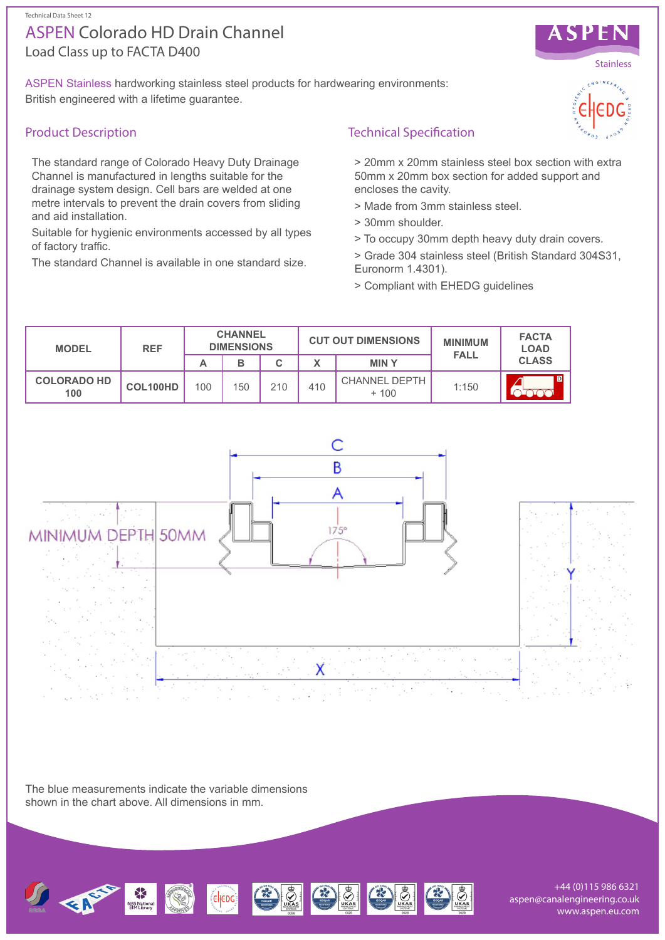#### Technical Data Sheet 12

# Load Class up to FACTA D400 ASPEN Colorado HD Drain Channel

ASPEN Stainless hardworking stainless steel products for hardwearing environments: British engineered with a lifetime guarantee.

## Product Description

The standard range of Colorado Heavy Duty Drainage Channel is manufactured in lengths suitable for the drainage system design. Cell bars are welded at one metre intervals to prevent the drain covers from sliding and aid installation.

Suitable for hygienic environments accessed by all types of factory traffic.

The standard Channel is available in one standard size.



> 20mm x 20mm stainless steel box section with extra 50mm x 20mm box section for added support and encloses the cavity.

- > Made from 3mm stainless steel.
- > 30mm shoulder.
- > To occupy 30mm depth heavy duty drain covers.

> Grade 304 stainless steel (British Standard 304S31, Euronorm 1.4301).

> Compliant with EHEDG guidelines

| <b>MODEL</b>              | <b>REF</b> | <b>CHANNEL</b><br><b>DIMENSIONS</b> |     |     | <b>CUT OUT DIMENSIONS</b> |                                | <b>MINIMUM</b><br><b>FALL</b> | <b>FACTA</b><br><b>LOAD</b> |
|---------------------------|------------|-------------------------------------|-----|-----|---------------------------|--------------------------------|-------------------------------|-----------------------------|
|                           |            | А                                   | в   |     |                           | <b>MINY</b>                    |                               | <b>CLASS</b>                |
| <b>COLORADO HD</b><br>100 | COL100HD   | 100                                 | 150 | 210 | 410                       | <b>CHANNEL DEPTH</b><br>$+100$ | 1:150                         | $\overline{D}$              |



The blue measurements indicate the variable dimensions shown in the chart above. All dimensions in mm.



+44 (0)115 986 6321 aspen@canalengineering.co.uk www.aspen.eu.com



**SPEN**